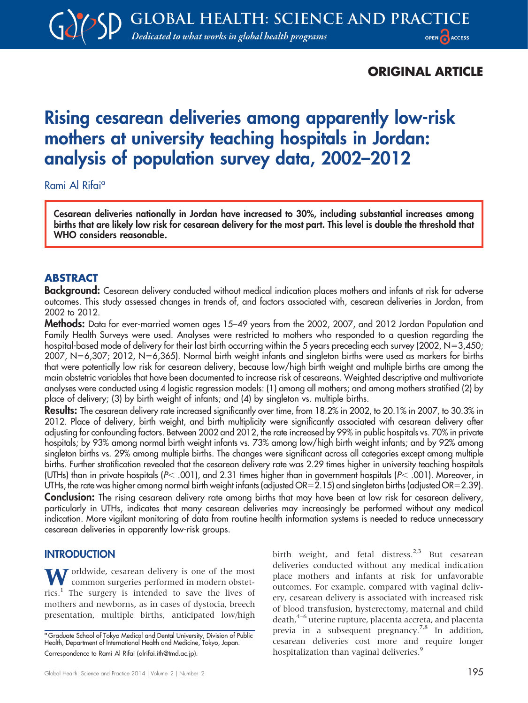# ORIGINAL ARTICLE

# Rising cesarean deliveries among apparently low-risk mothers at university teaching hospitals in Jordan: analysis of population survey data, 2002–2012

#### Rami Al Rifaia

Cesarean deliveries nationally in Jordan have increased to 30%, including substantial increases among births that are likely low risk for cesarean delivery for the most part. This level is double the threshold that WHO considers reasonable.

## ABSTRACT

Background: Cesarean delivery conducted without medical indication places mothers and infants at risk for adverse outcomes. This study assessed changes in trends of, and factors associated with, cesarean deliveries in Jordan, from 2002 to 2012.

Methods: Data for ever-married women ages 15–49 years from the 2002, 2007, and 2012 Jordan Population and Family Health Surveys were used. Analyses were restricted to mothers who responded to a question regarding the hospital-based mode of delivery for their last birth occurring within the 5 years preceding each survey (2002,  $N=3,450$ ; 2007, N=6,307; 2012, N=6,365). Normal birth weight infants and singleton births were used as markers for births that were potentially low risk for cesarean delivery, because low/high birth weight and multiple births are among the main obstetric variables that have been documented to increase risk of cesareans. Weighted descriptive and multivariate analyses were conducted using 4 logistic regression models: (1) among all mothers; and among mothers stratified (2) by place of delivery; (3) by birth weight of infants; and (4) by singleton vs. multiple births.

Results: The cesarean delivery rate increased significantly over time, from 18.2% in 2002, to 20.1% in 2007, to 30.3% in 2012. Place of delivery, birth weight, and birth multiplicity were significantly associated with cesarean delivery after adjusting for confounding factors. Between 2002 and 2012, the rate increased by 99% in public hospitals vs. 70% in private hospitals; by 93% among normal birth weight infants vs. 73% among low/high birth weight infants; and by 92% among singleton births vs. 29% among multiple births. The changes were significant across all categories except among multiple births. Further stratification revealed that the cesarean delivery rate was 2.29 times higher in university teaching hospitals (UTHs) than in private hospitals ( $P< .001$ ), and 2.31 times higher than in government hospitals ( $P< .001$ ). Moreover, in UTHs, the rate was higher among normal birth weight infants (adjusted OR=2.15) and singleton births (adjusted OR=2.39). **Conclusion:** The rising cesarean delivery rate among births that may have been at low risk for cesarean delivery, particularly in UTHs, indicates that many cesarean deliveries may increasingly be performed without any medical indication. More vigilant monitoring of data from routine health information systems is needed to reduce unnecessary cesarean deliveries in apparently low-risk groups.

#### **INTRODUCTION**

Vorldwide, cesarean delivery is one of the most common surgeries performed in modern obstetrics.<sup>1</sup> The surgery is intended to save the lives of mothers and newborns, as in cases of dystocia, breech presentation, multiple births, anticipated low/high

birth weight, and fetal distress.<sup>2,3</sup> But cesarean deliveries conducted without any medical indication place mothers and infants at risk for unfavorable outcomes. For example, compared with vaginal delivery, cesarean delivery is associated with increased risk of blood transfusion, hysterectomy, maternal and child death,<sup>4–6</sup> uterine rupture, placenta accreta, and placenta previa in a subsequent pregnancy.<sup>7,8</sup> In addition, cesarean deliveries cost more and require longer hospitalization than vaginal deliveries.<sup>9</sup>

<sup>&</sup>lt;sup>a</sup> Graduate School of Tokyo Medical and Dental University, Division of Public Health, Department of International Health and Medicine, Tokyo, Japan. Correspondence to Rami Al Rifai (alrifai.ith@tmd.ac.jp).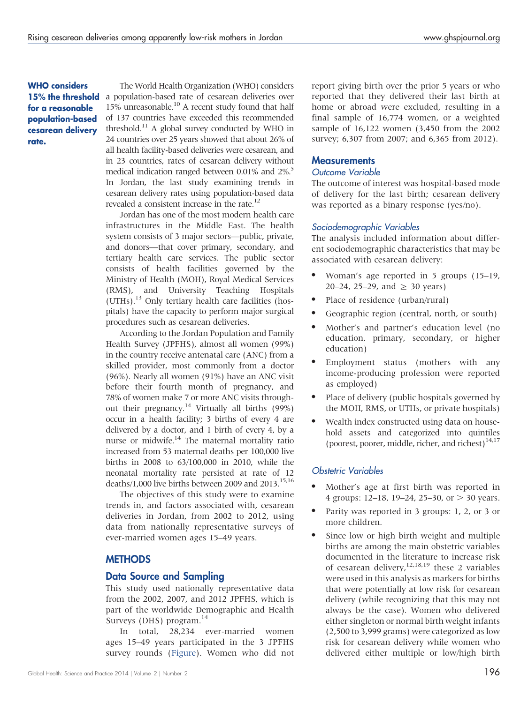WHO considers for a reasonable population-based cesarean delivery rate.

The World Health Organization (WHO) considers 15% the threshold a population-based rate of cesarean deliveries over 15% unreasonable.<sup>10</sup> A recent study found that half of 137 countries have exceeded this recommended threshold.<sup>11</sup> A global survey conducted by WHO in 24 countries over 25 years showed that about 26% of all health facility-based deliveries were cesarean, and in 23 countries, rates of cesarean delivery without medical indication ranged between 0.01% and 2%.<sup>5</sup> In Jordan, the last study examining trends in cesarean delivery rates using population-based data revealed a consistent increase in the rate.<sup>12</sup>

Jordan has one of the most modern health care infrastructures in the Middle East. The health system consists of 3 major sectors—public, private, and donors—that cover primary, secondary, and tertiary health care services. The public sector consists of health facilities governed by the Ministry of Health (MOH), Royal Medical Services (RMS), and University Teaching Hospitals  $(UTHs).<sup>13</sup>$  Only tertiary health care facilities (hospitals) have the capacity to perform major surgical procedures such as cesarean deliveries.

According to the Jordan Population and Family Health Survey (JPFHS), almost all women (99%) in the country receive antenatal care (ANC) from a skilled provider, most commonly from a doctor (96%). Nearly all women (91%) have an ANC visit before their fourth month of pregnancy, and 78% of women make 7 or more ANC visits throughout their pregnancy.<sup>14</sup> Virtually all births (99%) occur in a health facility; 3 births of every 4 are delivered by a doctor, and 1 birth of every 4, by a nurse or midwife. $14$  The maternal mortality ratio increased from 53 maternal deaths per 100,000 live births in 2008 to 63/100,000 in 2010, while the neonatal mortality rate persisted at rate of 12 deaths/1,000 live births between 2009 and 2013.<sup>15,16</sup>

The objectives of this study were to examine trends in, and factors associated with, cesarean deliveries in Jordan, from 2002 to 2012, using data from nationally representative surveys of ever-married women ages 15–49 years.

#### **METHODS**

#### Data Source and Sampling

This study used nationally representative data from the 2002, 2007, and 2012 JPFHS, which is part of the worldwide Demographic and Health Surveys (DHS) program. $^{14}$ 

In total, 28,234 ever-married women ages 15–49 years participated in the 3 JPFHS survey rounds ([Figure](#page-2-0)). Women who did not report giving birth over the prior 5 years or who reported that they delivered their last birth at home or abroad were excluded, resulting in a final sample of 16,774 women, or a weighted sample of 16,122 women (3,450 from the 2002 survey; 6,307 from 2007; and 6,365 from 2012).

#### **Measurements**

#### Outcome Variable

The outcome of interest was hospital-based mode of delivery for the last birth; cesarean delivery was reported as a binary response (yes/no).

#### Sociodemographic Variables

The analysis included information about different sociodemographic characteristics that may be associated with cesarean delivery:

- Woman's age reported in 5 groups (15-19, 20–24, 25–29, and  $\geq$  30 years)
- Place of residence (urban/rural)
- Geographic region (central, north, or south)
- Mother's and partner's education level (no education, primary, secondary, or higher education)
- Employment status (mothers with any income-producing profession were reported as employed)
- Place of delivery (public hospitals governed by the MOH, RMS, or UTHs, or private hospitals)
- Wealth index constructed using data on household assets and categorized into quintiles (poorest, poorer, middle, richer, and richest) $14,17$

#### Obstetric Variables

- Mother's age at first birth was reported in 4 groups: 12–18, 19–24, 25–30, or  $> 30$  years.
- Parity was reported in 3 groups: 1, 2, or 3 or more children.
- Since low or high birth weight and multiple births are among the main obstetric variables documented in the literature to increase risk of cesarean delivery,  $12,18,19$  these 2 variables were used in this analysis as markers for births that were potentially at low risk for cesarean delivery (while recognizing that this may not always be the case). Women who delivered either singleton or normal birth weight infants (2,500 to 3,999 grams) were categorized as low risk for cesarean delivery while women who delivered either multiple or low/high birth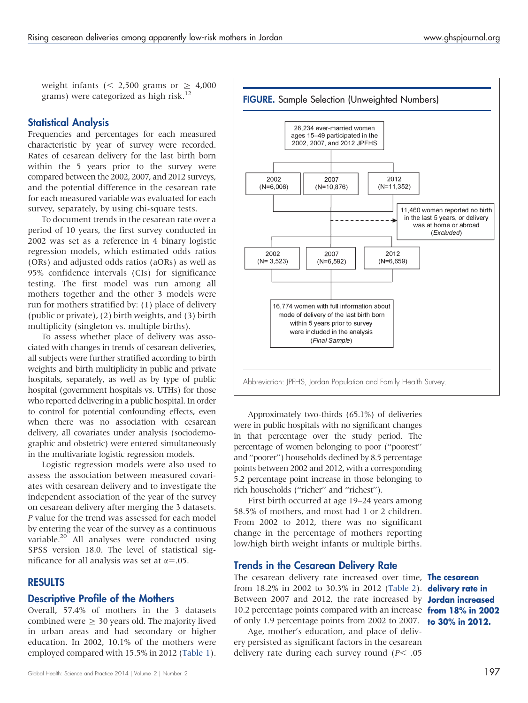<span id="page-2-0"></span>weight infants (< 2,500 grams or  $\geq$  4,000 grams) were categorized as high risk.<sup>12</sup>

#### Statistical Analysis

Frequencies and percentages for each measured characteristic by year of survey were recorded. Rates of cesarean delivery for the last birth born within the 5 years prior to the survey were compared between the 2002, 2007, and 2012 surveys, and the potential difference in the cesarean rate for each measured variable was evaluated for each survey, separately, by using chi-square tests.

To document trends in the cesarean rate over a period of 10 years, the first survey conducted in 2002 was set as a reference in 4 binary logistic regression models, which estimated odds ratios (ORs) and adjusted odds ratios (aORs) as well as 95% confidence intervals (CIs) for significance testing. The first model was run among all mothers together and the other 3 models were run for mothers stratified by: (1) place of delivery (public or private), (2) birth weights, and (3) birth multiplicity (singleton vs. multiple births).

To assess whether place of delivery was associated with changes in trends of cesarean deliveries, all subjects were further stratified according to birth weights and birth multiplicity in public and private hospitals, separately, as well as by type of public hospital (government hospitals vs. UTHs) for those who reported delivering in a public hospital. In order to control for potential confounding effects, even when there was no association with cesarean delivery, all covariates under analysis (sociodemographic and obstetric) were entered simultaneously in the multivariate logistic regression models.

Logistic regression models were also used to assess the association between measured covariates with cesarean delivery and to investigate the independent association of the year of the survey on cesarean delivery after merging the 3 datasets. P value for the trend was assessed for each model by entering the year of the survey as a continuous variable.<sup>20</sup> All analyses were conducted using SPSS version 18.0. The level of statistical significance for all analysis was set at  $\alpha$ =.05.

#### RESULTS

#### Descriptive Profile of the Mothers

Overall, 57.4% of mothers in the 3 datasets combined were  $\geq 30$  years old. The majority lived in urban areas and had secondary or higher education. In 2002, 10.1% of the mothers were employed compared with 15.5% in 2012 [\(Table 1\)](#page-3-0).



Approximately two-thirds (65.1%) of deliveries were in public hospitals with no significant changes in that percentage over the study period. The percentage of women belonging to poor (''poorest'' and ''poorer'') households declined by 8.5 percentage points between 2002 and 2012, with a corresponding 5.2 percentage point increase in those belonging to rich households (''richer'' and ''richest'').

First birth occurred at age 19–24 years among 58.5% of mothers, and most had 1 or 2 children. From 2002 to 2012, there was no significant change in the percentage of mothers reporting low/high birth weight infants or multiple births.

#### Trends in the Cesarean Delivery Rate

The cesarean delivery rate increased over time, **The cesarean** from 18.2% in 2002 to 30.3% in 2012 [\(Table 2\)](#page-5-0). delivery rate in Between 2007 and 2012, the rate increased by Jordan increased 10.2 percentage points compared with an increase from 18% in 2002 of only 1.9 percentage points from 2002 to 2007. **to 30% in 2012.** 

Age, mother's education, and place of delivery persisted as significant factors in the cesarean delivery rate during each survey round ( $P<$  .05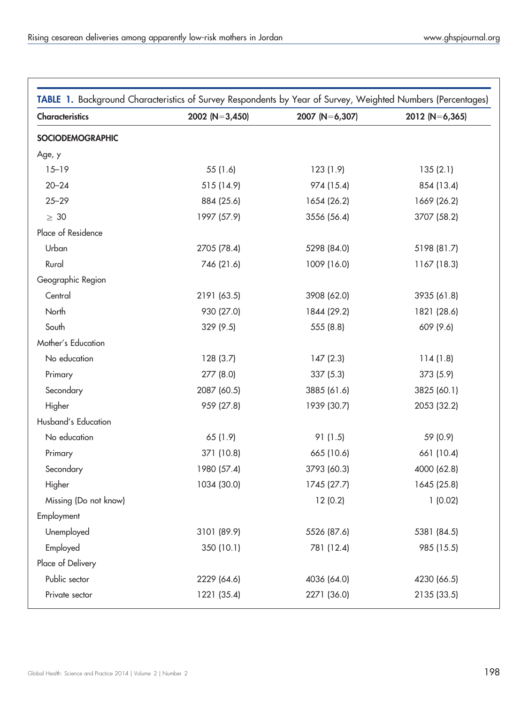<span id="page-3-0"></span>

| TABLE 1. Background Characteristics of Survey Respondents by Year of Survey, Weighted Numbers (Percentages) |                    |                |                  |
|-------------------------------------------------------------------------------------------------------------|--------------------|----------------|------------------|
| Characteristics                                                                                             | 2002 ( $N=3,450$ ) | 2007 (N=6,307) | $2012 (N=6,365)$ |
| SOCIODEMOGRAPHIC                                                                                            |                    |                |                  |
| Age, y                                                                                                      |                    |                |                  |
| $15 - 19$                                                                                                   | 55 (1.6)           | 123(1.9)       | 135(2.1)         |
| $20 - 24$                                                                                                   | 515 (14.9)         | 974 (15.4)     | 854 (13.4)       |
| $25 - 29$                                                                                                   | 884 (25.6)         | 1654 (26.2)    | 1669 (26.2)      |
| $\geq 30$                                                                                                   | 1997 (57.9)        | 3556 (56.4)    | 3707 (58.2)      |
| Place of Residence                                                                                          |                    |                |                  |
| Urban                                                                                                       | 2705 (78.4)        | 5298 (84.0)    | 5198 (81.7)      |
| Rural                                                                                                       | 746 (21.6)         | 1009 (16.0)    | 1167 (18.3)      |
| Geographic Region                                                                                           |                    |                |                  |
| Central                                                                                                     | 2191 (63.5)        | 3908 (62.0)    | 3935 (61.8)      |
| North                                                                                                       | 930 (27.0)         | 1844 (29.2)    | 1821 (28.6)      |
| South                                                                                                       | 329(9.5)           | 555 (8.8)      | 609 (9.6)        |
| Mother's Education                                                                                          |                    |                |                  |
| No education                                                                                                | 128(3.7)           | 147(2.3)       | 114(1.8)         |
| Primary                                                                                                     | 277 (8.0)          | 337(5.3)       | 373(5.9)         |
| Secondary                                                                                                   | 2087 (60.5)        | 3885 (61.6)    | 3825 (60.1)      |
| Higher                                                                                                      | 959 (27.8)         | 1939 (30.7)    | 2053 (32.2)      |
| Husband's Education                                                                                         |                    |                |                  |
| No education                                                                                                | 65 (1.9)           | 91(1.5)        | 59 (0.9)         |
| Primary                                                                                                     | 371 (10.8)         | 665 (10.6)     | 661 (10.4)       |
| Secondary                                                                                                   | 1980 (57.4)        | 3793 (60.3)    | 4000 (62.8)      |
| Higher                                                                                                      | 1034 (30.0)        | 1745 (27.7)    | 1645 (25.8)      |
| Missing (Do not know)                                                                                       |                    | 12(0.2)        | 1(0.02)          |
| Employment                                                                                                  |                    |                |                  |
| Unemployed                                                                                                  | 3101 (89.9)        | 5526 (87.6)    | 5381 (84.5)      |
| Employed                                                                                                    | 350 (10.1)         | 781 (12.4)     | 985 (15.5)       |
| Place of Delivery                                                                                           |                    |                |                  |
| Public sector                                                                                               | 2229 (64.6)        | 4036 (64.0)    | 4230 (66.5)      |
| Private sector                                                                                              | 1221 (35.4)        | 2271 (36.0)    | 2135 (33.5)      |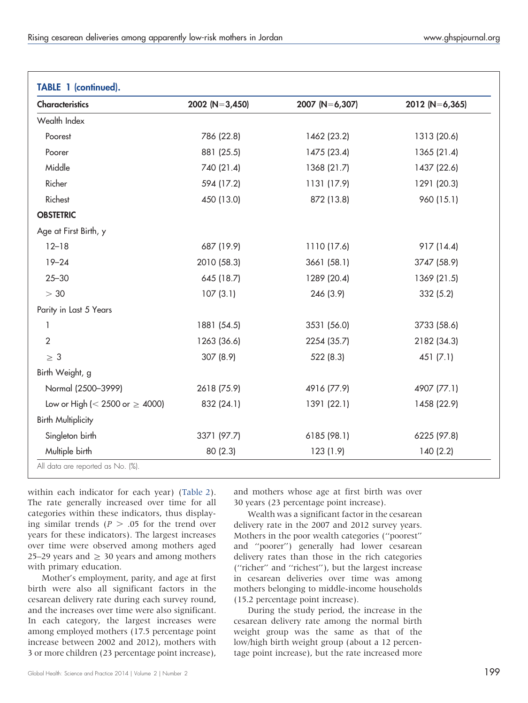| <b>Characteristics</b>                 | 2002 (N=3,450) | 2007 (N=6,307) | 2012 (N=6,365) |
|----------------------------------------|----------------|----------------|----------------|
| Wealth Index                           |                |                |                |
| Poorest                                | 786 (22.8)     | 1462 (23.2)    | 1313 (20.6)    |
| Poorer                                 | 881 (25.5)     | 1475 (23.4)    | 1365 (21.4)    |
| Middle                                 | 740 (21.4)     | 1368 (21.7)    | 1437 (22.6)    |
| Richer                                 | 594 (17.2)     | 1131 (17.9)    | 1291 (20.3)    |
| Richest                                | 450 (13.0)     | 872 (13.8)     | 960 (15.1)     |
| <b>OBSTETRIC</b>                       |                |                |                |
| Age at First Birth, y                  |                |                |                |
| $12 - 18$                              | 687 (19.9)     | 1110 (17.6)    | 917 (14.4)     |
| $19 - 24$                              | 2010 (58.3)    | 3661 (58.1)    | 3747 (58.9)    |
| $25 - 30$                              | 645 (18.7)     | 1289 (20.4)    | 1369 (21.5)    |
| > 30                                   | 107(3.1)       | 246 (3.9)      | 332 (5.2)      |
| Parity in Last 5 Years                 |                |                |                |
| 1                                      | 1881 (54.5)    | 3531 (56.0)    | 3733 (58.6)    |
| $\overline{2}$                         | 1263 (36.6)    | 2254 (35.7)    | 2182 (34.3)    |
| $\geq 3$                               | 307 (8.9)      | 522 (8.3)      | 451(7.1)       |
| Birth Weight, g                        |                |                |                |
| Normal (2500-3999)                     | 2618 (75.9)    | 4916 (77.9)    | 4907 (77.1)    |
| Low or High ( $<$ 2500 or $\geq$ 4000) | 832 (24.1)     | 1391 (22.1)    | 1458 (22.9)    |
| <b>Birth Multiplicity</b>              |                |                |                |
| Singleton birth                        | 3371 (97.7)    | 6185 (98.1)    | 6225 (97.8)    |
| Multiple birth                         | 80 (2.3)       | 123 (1.9)      | 140(2.2)       |

within each indicator for each year) ([Table 2\)](#page-5-0). The rate generally increased over time for all categories within these indicators, thus displaying similar trends ( $P > .05$  for the trend over years for these indicators). The largest increases over time were observed among mothers aged 25–29 years and  $\geq$  30 years and among mothers with primary education.

Mother's employment, parity, and age at first birth were also all significant factors in the cesarean delivery rate during each survey round, and the increases over time were also significant. In each category, the largest increases were among employed mothers (17.5 percentage point increase between 2002 and 2012), mothers with 3 or more children (23 percentage point increase), and mothers whose age at first birth was over 30 years (23 percentage point increase).

Wealth was a significant factor in the cesarean delivery rate in the 2007 and 2012 survey years. Mothers in the poor wealth categories (''poorest'' and ''poorer'') generally had lower cesarean delivery rates than those in the rich categories (''richer'' and ''richest''), but the largest increase in cesarean deliveries over time was among mothers belonging to middle-income households (15.2 percentage point increase).

During the study period, the increase in the cesarean delivery rate among the normal birth weight group was the same as that of the low/high birth weight group (about a 12 percentage point increase), but the rate increased more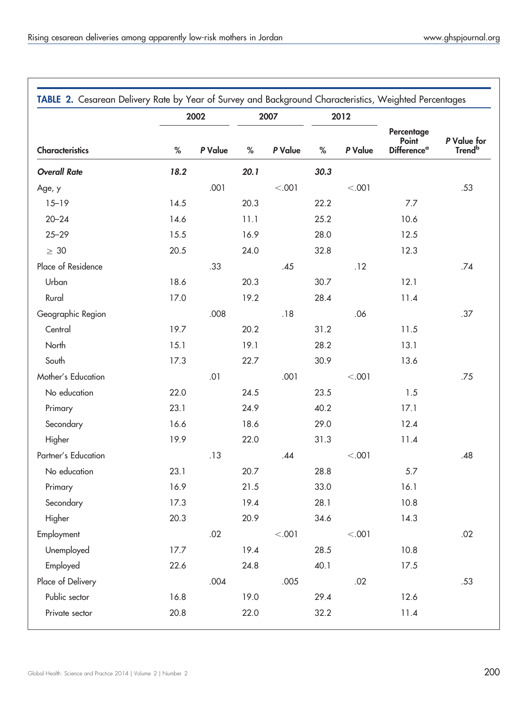<span id="page-5-0"></span>

| TABLE 2. Cesarean Delivery Rate by Year of Survey and Background Characteristics, Weighted Percentages |      | 2002    |      | 2007    |      | 2012    |                                                      |                                   |
|--------------------------------------------------------------------------------------------------------|------|---------|------|---------|------|---------|------------------------------------------------------|-----------------------------------|
| Characteristics                                                                                        | $\%$ | P Value | $\%$ | P Value | $\%$ | P Value | Percentage<br>Point<br><b>Difference<sup>a</sup></b> | P Value for<br>Trend <sup>b</sup> |
| <b>Overall Rate</b>                                                                                    | 18.2 |         | 20.1 |         | 30.3 |         |                                                      |                                   |
| Age, y                                                                                                 |      | .001    |      | < .001  |      | < .001  |                                                      | .53                               |
| $15 - 19$                                                                                              | 14.5 |         | 20.3 |         | 22.2 |         | 7.7                                                  |                                   |
| $20 - 24$                                                                                              | 14.6 |         | 11.1 |         | 25.2 |         | 10.6                                                 |                                   |
| $25 - 29$                                                                                              | 15.5 |         | 16.9 |         | 28.0 |         | 12.5                                                 |                                   |
| $\geq 30$                                                                                              | 20.5 |         | 24.0 |         | 32.8 |         | 12.3                                                 |                                   |
| Place of Residence                                                                                     |      | .33     |      | .45     |      | .12     |                                                      | .74                               |
| Urban                                                                                                  | 18.6 |         | 20.3 |         | 30.7 |         | 12.1                                                 |                                   |
| Rural                                                                                                  | 17.0 |         | 19.2 |         | 28.4 |         | 11.4                                                 |                                   |
| Geographic Region                                                                                      |      | .008    |      | .18     |      | .06     |                                                      | .37                               |
| Central                                                                                                | 19.7 |         | 20.2 |         | 31.2 |         | 11.5                                                 |                                   |
| North                                                                                                  | 15.1 |         | 19.1 |         | 28.2 |         | 13.1                                                 |                                   |
| South                                                                                                  | 17.3 |         | 22.7 |         | 30.9 |         | 13.6                                                 |                                   |
| Mother's Education                                                                                     |      | .01     |      | .001    |      | < .001  |                                                      | .75                               |
| No education                                                                                           | 22.0 |         | 24.5 |         | 23.5 |         | 1.5                                                  |                                   |
| Primary                                                                                                | 23.1 |         | 24.9 |         | 40.2 |         | 17.1                                                 |                                   |
| Secondary                                                                                              | 16.6 |         | 18.6 |         | 29.0 |         | 12.4                                                 |                                   |
| Higher                                                                                                 | 19.9 |         | 22.0 |         | 31.3 |         | 11.4                                                 |                                   |
| Partner's Education                                                                                    |      | .13     |      | .44     |      | < .001  |                                                      | .48                               |
| No education                                                                                           | 23.1 |         | 20.7 |         | 28.8 |         | 5.7                                                  |                                   |
| Primary                                                                                                | 16.9 |         | 21.5 |         | 33.0 |         | 16.1                                                 |                                   |
| Secondary                                                                                              | 17.3 |         | 19.4 |         | 28.1 |         | 10.8                                                 |                                   |
| Higher                                                                                                 | 20.3 |         | 20.9 |         | 34.6 |         | 14.3                                                 |                                   |
| Employment                                                                                             |      | .02     |      | < .001  |      | < .001  |                                                      | $.02\,$                           |
| Unemployed                                                                                             | 17.7 |         | 19.4 |         | 28.5 |         | 10.8                                                 |                                   |
| Employed                                                                                               | 22.6 |         | 24.8 |         | 40.1 |         | 17.5                                                 |                                   |
| Place of Delivery                                                                                      |      | .004    |      | .005    |      | .02     |                                                      | .53                               |
| Public sector                                                                                          | 16.8 |         | 19.0 |         | 29.4 |         | 12.6                                                 |                                   |
| Private sector                                                                                         | 20.8 |         | 22.0 |         | 32.2 |         | 11.4                                                 |                                   |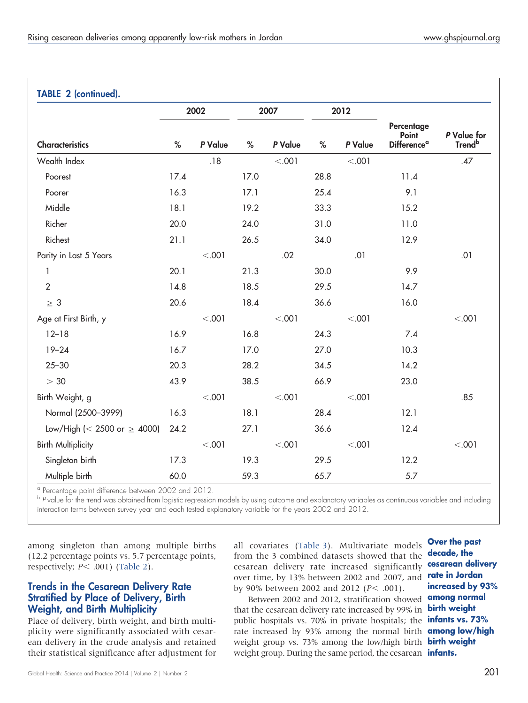| <b>TABLE 2 (continued).</b>      |      |         |      |         |      |         |                                                       |                                   |
|----------------------------------|------|---------|------|---------|------|---------|-------------------------------------------------------|-----------------------------------|
|                                  |      | 2002    |      | 2007    |      | 2012    |                                                       |                                   |
| <b>Characteristics</b>           | $\%$ | P Value | $\%$ | P Value | $\%$ | P Value | Percentage<br>Point<br><b>Difference</b> <sup>a</sup> | P Value for<br>Trend <sup>b</sup> |
| Wealth Index                     |      | .18     |      | < .001  |      | < .001  |                                                       | .47                               |
| Poorest                          | 17.4 |         | 17.0 |         | 28.8 |         | 11.4                                                  |                                   |
| Poorer                           | 16.3 |         | 17.1 |         | 25.4 |         | 9.1                                                   |                                   |
| Middle                           | 18.1 |         | 19.2 |         | 33.3 |         | 15.2                                                  |                                   |
| Richer                           | 20.0 |         | 24.0 |         | 31.0 |         | 11.0                                                  |                                   |
| Richest                          | 21.1 |         | 26.5 |         | 34.0 |         | 12.9                                                  |                                   |
| Parity in Last 5 Years           |      | < .001  |      | .02     |      | .01     |                                                       | .01                               |
| $\mathbf{1}$                     | 20.1 |         | 21.3 |         | 30.0 |         | 9.9                                                   |                                   |
| $\boldsymbol{2}$                 | 14.8 |         | 18.5 |         | 29.5 |         | 14.7                                                  |                                   |
| $\geq 3$                         | 20.6 |         | 18.4 |         | 36.6 |         | 16.0                                                  |                                   |
| Age at First Birth, y            |      | < .001  |      | < .001  |      | < .001  |                                                       | < .001                            |
| $12 - 18$                        | 16.9 |         | 16.8 |         | 24.3 |         | 7.4                                                   |                                   |
| $19 - 24$                        | 16.7 |         | 17.0 |         | 27.0 |         | 10.3                                                  |                                   |
| $25 - 30$                        | 20.3 |         | 28.2 |         | 34.5 |         | 14.2                                                  |                                   |
| > 30                             | 43.9 |         | 38.5 |         | 66.9 |         | 23.0                                                  |                                   |
| Birth Weight, g                  |      | < .001  |      | < .001  |      | < .001  |                                                       | .85                               |
| Normal (2500-3999)               | 16.3 |         | 18.1 |         | 28.4 |         | 12.1                                                  |                                   |
| Low/High (< 2500 or $\geq$ 4000) | 24.2 |         | 27.1 |         | 36.6 |         | 12.4                                                  |                                   |
| <b>Birth Multiplicity</b>        |      | < .001  |      | < .001  |      | < .001  |                                                       | < .001                            |
| Singleton birth                  | 17.3 |         | 19.3 |         | 29.5 |         | 12.2                                                  |                                   |
| Multiple birth                   | 60.0 |         | 59.3 |         | 65.7 |         | $5.7$                                                 |                                   |

<sup>a</sup> Percentage point difference between 2002 and 2012.

b P value for the trend was obtained from logistic regression models by using outcome and explanatory variables as continuous variables and including interaction terms between survey year and each tested explanatory variable for the years 2002 and 2012.

among singleton than among multiple births (12.2 percentage points vs. 5.7 percentage points, respectively;  $P< .001$ ) [\(Table 2](#page-5-0)).

## Trends in the Cesarean Delivery Rate Stratified by Place of Delivery, Birth Weight, and Birth Multiplicity

Place of delivery, birth weight, and birth multiplicity were significantly associated with cesarean delivery in the crude analysis and retained their statistical significance after adjustment for all covariates ([Table 3](#page-7-0)). Multivariate models from the 3 combined datasets showed that the cesarean delivery rate increased significantly over time, by 13% between 2002 and 2007, and rate in Jordan by 90% between 2002 and 2012 ( $P < .001$ ).

Between 2002 and 2012, stratification showed that the cesarean delivery rate increased by 99% in public hospitals vs. 70% in private hospitals; the **infants vs. 73%** rate increased by 93% among the normal birth **among low/high** weight group vs. 73% among the low/high birth **birth weight** weight group. During the same period, the cesarean **infants.** 

Over the past decade, the cesarean delivery increased by 93% among normal birth weight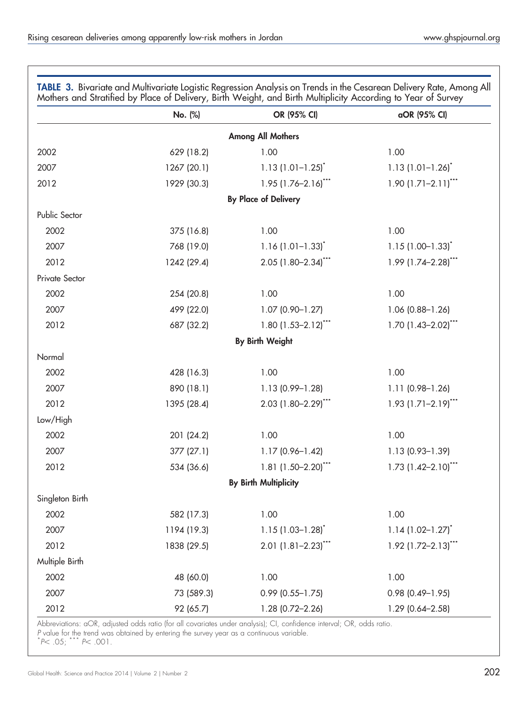<span id="page-7-0"></span>

|                 | No. (%)     | OR (95% CI)                       | aOR (95% CI)                          |
|-----------------|-------------|-----------------------------------|---------------------------------------|
|                 |             | <b>Among All Mothers</b>          |                                       |
| 2002            | 629 (18.2)  | 1.00                              | 1.00                                  |
| 2007            | 1267 (20.1) | $1.13(1.01 - 1.25)^{*}$           | $1.13(1.01 - 1.26)^{*}$               |
| 2012            | 1929 (30.3) | $1.95$ (1.76-2.16) <sup>***</sup> | $1.90$ $(1.71 - 2.11)$ ***            |
|                 |             | <b>By Place of Delivery</b>       |                                       |
| Public Sector   |             |                                   |                                       |
| 2002            | 375 (16.8)  | 1.00                              | 1.00                                  |
| 2007            | 768 (19.0)  | $1.16$ (1.01-1.33) <sup>*</sup>   | $1.15(1.00 - 1.33)^{*}$               |
| 2012            | 1242 (29.4) | $2.05$ (1.80-2.34) <sup>***</sup> | $1.99$ (1.74-2.28) <sup>***</sup>     |
| Private Sector  |             |                                   |                                       |
| 2002            | 254 (20.8)  | 1.00                              | 1.00                                  |
| 2007            | 499 (22.0)  | $1.07$ (0.90-1.27)                | 1.06 (0.88-1.26)                      |
| 2012            | 687 (32.2)  | $1.80$ (1.53-2.12) <sup>***</sup> | $1.70$ (1.43-2.02) <sup>***</sup>     |
|                 |             | <b>By Birth Weight</b>            |                                       |
| Normal          |             |                                   |                                       |
| 2002            | 428 (16.3)  | 1.00                              | 1.00                                  |
| 2007            | 890 (18.1)  | 1.13 (0.99-1.28)                  | $1.11(0.98 - 1.26)$                   |
| 2012            | 1395 (28.4) | $2.03$ (1.80-2.29) <sup>***</sup> | $1.93$ (1.71-2.19) <sup>***</sup>     |
| Low/High        |             |                                   |                                       |
| 2002            | 201 (24.2)  | 1.00                              | 1.00                                  |
| 2007            | 377(27.1)   | $1.17(0.96 - 1.42)$               | $1.13(0.93 - 1.39)$                   |
| 2012            | 534 (36.6)  | 1.81 $(1.50-2.20)$ ***            | $1.73$ $(1.42 - 2.10)$ <sup>***</sup> |
|                 |             | <b>By Birth Multiplicity</b>      |                                       |
| Singleton Birth |             |                                   |                                       |
| 2002            | 582 (17.3)  | 1.00                              | 1.00                                  |
| 2007            | 1194 (19.3) | $1.15(1.03 - 1.28)^{*}$           | $1.14(1.02 - 1.27)^{*}$               |
| 2012            | 1838 (29.5) | $2.01$ (1.81-2.23) <sup>***</sup> | $1.92$ (1.72-2.13)***                 |
| Multiple Birth  |             |                                   |                                       |
| 2002            | 48 (60.0)   | 1.00                              | 1.00                                  |
| 2007            | 73 (589.3)  | $0.99$ (0.55-1.75)                | $0.98$ (0.49-1.95)                    |
| 2012            | 92 (65.7)   | 1.28 (0.72-2.26)                  | 1.29 (0.64-2.58)                      |

Abbreviations: aOR, adjusted odds ratio (for all covariates under analysis); CI, confidence interval; OR, odds ratio.

P value for the trend was obtained by entering the survey year as a continuous variable.<br>\*P< .05; \*\*\* P< .001.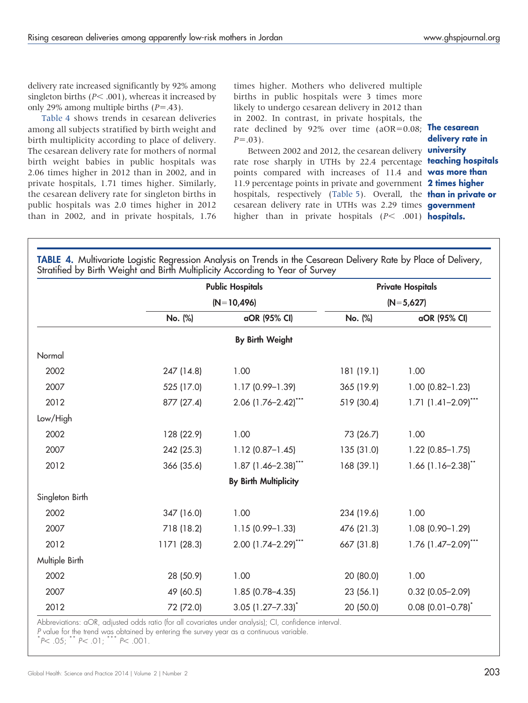delivery rate increased significantly by 92% among singleton births ( $P$ < .001), whereas it increased by only 29% among multiple births  $(P=.43)$ .

Table 4 shows trends in cesarean deliveries among all subjects stratified by birth weight and birth multiplicity according to place of delivery. The cesarean delivery rate for mothers of normal birth weight babies in public hospitals was 2.06 times higher in 2012 than in 2002, and in private hospitals, 1.71 times higher. Similarly, the cesarean delivery rate for singleton births in public hospitals was 2.0 times higher in 2012 than in 2002, and in private hospitals, 1.76 times higher. Mothers who delivered multiple births in public hospitals were 3 times more likely to undergo cesarean delivery in 2012 than in 2002. In contrast, in private hospitals, the rate declined by 92% over time (aOR=0.08; **The cesarean**  $P = .03$ ).

Between 2002 and 2012, the cesarean delivery **universify** rate rose sharply in UTHs by 22.4 percentage **teaching hospitals** points compared with increases of 11.4 and **was more than** 11.9 percentage points in private and government 2 times higher hospitals, respectively ([Table 5\)](#page-9-0). Overall, the **than in private or** cesarean delivery rate in UTHs was 2.29 times government higher than in private hospitals (P< .001) hospitals.

delivery rate in

|                 |             | <b>Public Hospitals</b>           | <b>Private Hospitals</b> |                                       |  |
|-----------------|-------------|-----------------------------------|--------------------------|---------------------------------------|--|
|                 |             | $(N=10,496)$                      |                          | $(N=5,627)$                           |  |
|                 | No. (%)     | aOR (95% CI)                      | No. (%)                  | aOR (95% CI)                          |  |
|                 |             | <b>By Birth Weight</b>            |                          |                                       |  |
| Normal          |             |                                   |                          |                                       |  |
| 2002            | 247 (14.8)  | 1.00                              | 181 (19.1)               | 1.00                                  |  |
| 2007            | 525 (17.0)  | 1.17 (0.99-1.39)                  | 365 (19.9)               | $1.00$ (0.82-1.23)                    |  |
| 2012            | 877 (27.4)  | 2.06 (1.76-2.42)***               | 519 (30.4)               | $1.71$ $(1.41 - 2.09)$ <sup>***</sup> |  |
| Low/High        |             |                                   |                          |                                       |  |
| 2002            | 128 (22.9)  | 1.00                              | 73 (26.7)                | 1.00                                  |  |
| 2007            | 242 (25.3)  | $1.12$ (0.87-1.45)                | 135 (31.0)               | $1.22$ (0.85-1.75)                    |  |
| 2012            | 366 (35.6)  | $1.87$ (1.46-2.38) <sup>***</sup> | 168 (39.1)               | $1.66$ (1.16-2.38) <sup>**</sup>      |  |
|                 |             | <b>By Birth Multiplicity</b>      |                          |                                       |  |
| Singleton Birth |             |                                   |                          |                                       |  |
| 2002            | 347 (16.0)  | 1.00                              | 234 (19.6)               | 1.00                                  |  |
| 2007            | 718 (18.2)  | 1.15 (0.99-1.33)                  | 476 (21.3)               | 1.08 (0.90-1.29)                      |  |
| 2012            | 1171 (28.3) | 2.00 (1.74-2.29)***               | 667 (31.8)               | $1.76$ (1.47-2.09) <sup>***</sup>     |  |
| Multiple Birth  |             |                                   |                          |                                       |  |
| 2002            | 28 (50.9)   | 1.00                              | 20 (80.0)                | 1.00                                  |  |
| 2007            | 49 (60.5)   | $1.85(0.78 - 4.35)$               | 23(56.1)                 | $0.32$ (0.05-2.09)                    |  |
| 2012            | 72 (72.0)   | $3.05$ $(1.27 - 7.33)^{*}$        | 20 (50.0)                | $0.08$ (0.01-0.78) <sup>*</sup>       |  |

Abbreviations: aOR, adjusted odds ratio (for all covariates under analysis); CI, confidence interval.

P value for the trend was obtained by entering the survey year as a continuous variable.

 $*P< .05;$   $*$  P  $< .01;$   $*$   $*$  P  $< .001.$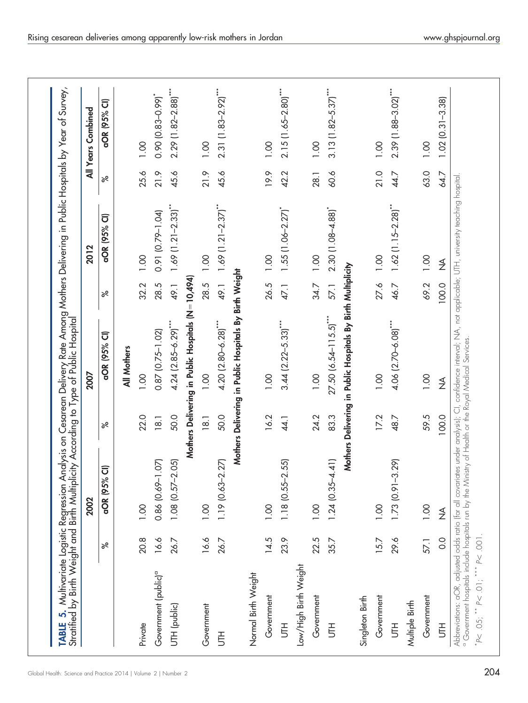<span id="page-9-0"></span>

|                                  |               | 2002                     |                            | 2007                                                         |       | 2012                                |      | All Years Combined    |
|----------------------------------|---------------|--------------------------|----------------------------|--------------------------------------------------------------|-------|-------------------------------------|------|-----------------------|
|                                  | ಸ             | 95% CI)<br>aOR (         | ಸ                          | aOR (95% CI)                                                 | ಸ     | aOR (95% CI)                        | ಸ    | aOR (95% CI)          |
|                                  |               |                          |                            | All Mothers                                                  |       |                                     |      |                       |
| Private                          | 20.8          | 0.00                     | 22.0                       | 00.1                                                         | 32.2  | 0.00                                | 25.6 | 0.00                  |
| Government (public) <sup>a</sup> | 16.6          | 69-1.07)<br>0.86(0.      | 18.1                       | $0.87$ $(0.75 - 1.02)$                                       | 28.5  | 0.91 (0.79-1.04)                    | 21.9 | $0.90(0.83 - 0.99)^*$ |
| UTH (public)                     | 26.7          | $57 - 2.05$<br>1.08(0.1) | 50.0                       | $4.24$ $(2.85 - 6.29)$ ***                                   | 49.1  | $1.69$ (1.21-2.33) <sup>**</sup>    | 45.6 | 2.29 (1.82-2.88)***   |
|                                  |               |                          |                            | Mothers Delivering in Public Hospitals (N=10,494)            |       |                                     |      |                       |
| Government                       | 16.6          | $\overline{0}$           | $\frac{18.1}{\frac{1}{2}}$ | 1.00                                                         | 28.5  | 1.00                                | 21.9 | 0.00                  |
| 青                                | 26.7          | 63-2.27)<br>1.19(0.      | 50.0                       | $4.20$ $(2.80 - 6.28)$ ***                                   | 49.1  | $1.69$ $(1.21 - 2.37)$              | 45.6 | 2.31 [1.83-2.92]***   |
|                                  |               |                          |                            | Mothers Delivering in Public Hospitals By Birth Weight       |       |                                     |      |                       |
| Normal Birth Weight              |               |                          |                            |                                                              |       |                                     |      |                       |
| Government                       | 14.5          | $\overline{0}$           | 16.2                       | 1.00                                                         | 26.5  | 0.00                                | 19.9 | 0.00                  |
| 舌                                | 23.9          | $55 - 2.55$<br>1.18(0.   | 44.1                       | $3.44$ (2.22-5.33) <sup>***</sup>                            | 47.1  | $1.55$ $(1.06 - 2.27)$ <sup>*</sup> | 42.2 | $2.15(1.65 - 2.80)$   |
| Low/High Birth Weight            |               |                          |                            |                                                              |       |                                     |      |                       |
| Government                       | 22.5          | 0.00                     | 24.2                       | 0.00                                                         | 34.7  | 0.00                                | 28.1 | 0.00                  |
| $\overline{5}$                   | 35.7          | $35 - 4.41$<br>1.24(0.   | 83.3                       | $27.50$ (6.54-115.5) <sup>***</sup>                          | 57.1  | $2.30$ $(1.08 - 4.88)$              | 60.6 | $3.13(1.82 - 5.37)$   |
|                                  |               |                          |                            | Mothers Delivering in Public Hospitals By Birth Multiplicity |       |                                     |      |                       |
| Singleton Birth                  |               |                          |                            |                                                              |       |                                     |      |                       |
| Government                       | 15.7          | $\overline{0}$           | 17.2                       | 0.00                                                         | 27.6  | 0.00                                | 21.0 | 0.00                  |
| 舌<br>                            | 29.6          | $91 - 3.29$<br>1.73(0.1) | 48.7                       | 4.06 (2.70-6.08)***                                          | 46.7  | $1.62$ (1.15-2.28) <sup>**</sup>    | 44.7 | 2.39 [1.88-3.02]***   |
| Multiple Birth                   |               |                          |                            |                                                              |       |                                     |      |                       |
| Government                       | 57.1          | 0.00                     | 59.5                       | 0.00                                                         | 69.2  | 0.00                                | 63.0 | 1.00                  |
| $\bar{5}$                        | $\frac{0}{0}$ | $\frac{1}{2}$            | 100.0                      | $\frac{4}{2}$                                                | 100.0 | $\frac{1}{2}$                       | 64.7 | $1.02(0.31 - 3.38)$   |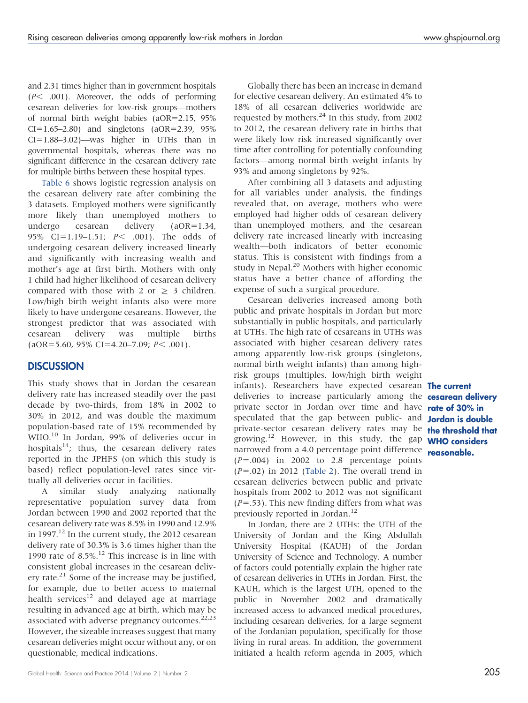and 2.31 times higher than in government hospitals  $(P< .001)$ . Moreover, the odds of performing cesarean deliveries for low-risk groups—mothers of normal birth weight babies (aOR=2.15, 95%  $CI=1.65-2.80$ ) and singletons (aOR=2.39, 95%)  $CI=1.88-3.02$ )—was higher in UTHs than in governmental hospitals, whereas there was no significant difference in the cesarean delivery rate for multiple births between these hospital types.

[Table 6](#page-11-0) shows logistic regression analysis on the cesarean delivery rate after combining the 3 datasets. Employed mothers were significantly more likely than unemployed mothers to undergo cesarean delivery (aOR=1.34, 95% CI=1.19-1.51;  $P<$  .001). The odds of undergoing cesarean delivery increased linearly and significantly with increasing wealth and mother's age at first birth. Mothers with only 1 child had higher likelihood of cesarean delivery compared with those with 2 or  $\geq$  3 children. Low/high birth weight infants also were more likely to have undergone cesareans. However, the strongest predictor that was associated with cesarean delivery was multiple births  $(aOR=5.60, 95\% CI=4.20-7.09; P< .001).$ 

## **DISCUSSION**

This study shows that in Jordan the cesarean delivery rate has increased steadily over the past decade by two-thirds, from 18% in 2002 to 30% in 2012, and was double the maximum population-based rate of 15% recommended by WHO.<sup>10</sup> In Jordan, 99% of deliveries occur in hospitals<sup>14</sup>; thus, the cesarean delivery rates reported in the JPHFS (on which this study is based) reflect population-level rates since virtually all deliveries occur in facilities.

A similar study analyzing nationally representative population survey data from Jordan between 1990 and 2002 reported that the cesarean delivery rate was 8.5% in 1990 and 12.9% in 1997.<sup>12</sup> In the current study, the 2012 cesarean delivery rate of 30.3% is 3.6 times higher than the 1990 rate of  $8.5\%$ .<sup>12</sup> This increase is in line with consistent global increases in the cesarean delivery rate. $^{21}$  Some of the increase may be justified, for example, due to better access to maternal health services<sup>12</sup> and delayed age at marriage resulting in advanced age at birth, which may be associated with adverse pregnancy outcomes.<sup>22,23</sup> However, the sizeable increases suggest that many cesarean deliveries might occur without any, or on questionable, medical indications.

Globally there has been an increase in demand for elective cesarean delivery. An estimated 4% to 18% of all cesarean deliveries worldwide are requested by mothers.<sup>24</sup> In this study, from 2002 to 2012, the cesarean delivery rate in births that were likely low risk increased significantly over time after controlling for potentially confounding factors—among normal birth weight infants by 93% and among singletons by 92%.

After combining all 3 datasets and adjusting for all variables under analysis, the findings revealed that, on average, mothers who were employed had higher odds of cesarean delivery than unemployed mothers, and the cesarean delivery rate increased linearly with increasing wealth—both indicators of better economic status. This is consistent with findings from a study in Nepal.<sup>20</sup> Mothers with higher economic status have a better chance of affording the expense of such a surgical procedure.

Cesarean deliveries increased among both public and private hospitals in Jordan but more substantially in public hospitals, and particularly at UTHs. The high rate of cesareans in UTHs was associated with higher cesarean delivery rates among apparently low-risk groups (singletons, normal birth weight infants) than among highrisk groups (multiples, low/high birth weight infants). Researchers have expected cesarean **The current** deliveries to increase particularly among the cesarean delivery private sector in Jordan over time and have rate of 30% in speculated that the gap between public- and **Jordan is double** private-sector cesarean delivery rates may be the threshold that growing.<sup>12</sup> However, in this study, the gap **WHO considers** narrowed from a 4.0 percentage point difference  $(P=.004)$  in 2002 to 2.8 percentage points  $(P=.02)$  in 2012 [\(Table 2](#page-5-0)). The overall trend in cesarean deliveries between public and private hospitals from 2002 to 2012 was not significant  $(P=.53)$ . This new finding differs from what was previously reported in Jordan.<sup>12</sup>

In Jordan, there are 2 UTHs: the UTH of the University of Jordan and the King Abdullah University Hospital (KAUH) of the Jordan University of Science and Technology. A number of factors could potentially explain the higher rate of cesarean deliveries in UTHs in Jordan. First, the KAUH, which is the largest UTH, opened to the public in November 2002 and dramatically increased access to advanced medical procedures, including cesarean deliveries, for a large segment of the Jordanian population, specifically for those living in rural areas. In addition, the government initiated a health reform agenda in 2005, which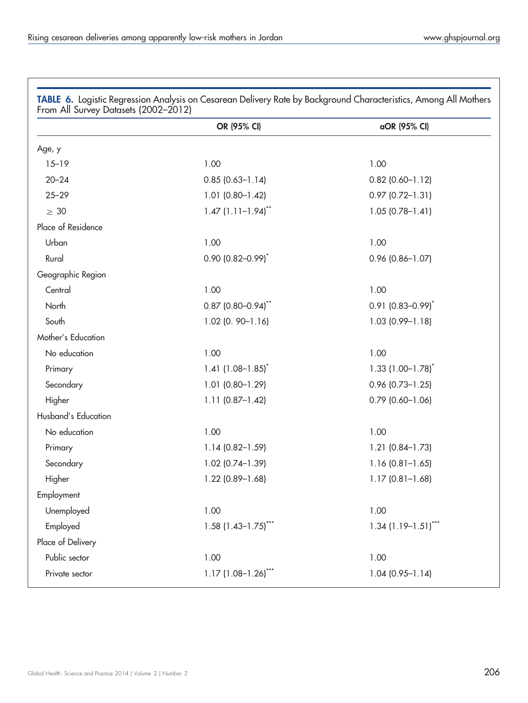|                     | OR (95% CI)                        | aOR (95% CI)                      |
|---------------------|------------------------------------|-----------------------------------|
| Age, y              |                                    |                                   |
| $15 - 19$           | 1.00                               | 1.00                              |
| $20 - 24$           | $0.85(0.63 - 1.14)$                | $0.82$ (0.60-1.12)                |
| $25 - 29$           | $1.01$ (0.80-1.42)                 | $0.97$ $(0.72 - 1.31)$            |
| $\geq 30$           | $1.47$ $(1.11-1.94)$ <sup>**</sup> | $1.05(0.78 - 1.41)$               |
| Place of Residence  |                                    |                                   |
| Urban               | 1.00                               | 1.00                              |
| Rural               | $0.90$ (0.82-0.99) <sup>*</sup>    | $0.96$ (0.86-1.07)                |
| Geographic Region   |                                    |                                   |
| Central             | 1.00                               | 1.00                              |
| North               | $0.87$ (0.80-0.94) <sup>**</sup>   | $0.91$ (0.83-0.99) <sup>*</sup>   |
| South               | $1.02$ (0. 90-1.16)                | $1.03(0.99 - 1.18)$               |
| Mother's Education  |                                    |                                   |
| No education        | 1.00                               | 1.00                              |
| Primary             | 1.41 $(1.08 - 1.85)^*$             | $1.33$ (1.00-1.78) <sup>*</sup>   |
| Secondary           | $1.01$ (0.80-1.29)                 | $0.96$ (0.73-1.25)                |
| Higher              | $1.11$ (0.87-1.42)                 | $0.79$ (0.60-1.06)                |
| Husband's Education |                                    |                                   |
| No education        | 1.00                               | 1.00                              |
| Primary             | 1.14 (0.82-1.59)                   | $1.21$ (0.84-1.73)                |
| Secondary           | $1.02$ (0.74-1.39)                 | $1.16(0.81 - 1.65)$               |
| Higher              | $1.22$ (0.89-1.68)                 | $1.17(0.81 - 1.68)$               |
| Employment          |                                    |                                   |
| Unemployed          | 1.00                               | 1.00                              |
| Employed            | $1.58$ (1.43-1.75) <sup>***</sup>  | $1.34$ (1.19-1.51) <sup>***</sup> |
| Place of Delivery   |                                    |                                   |
| Public sector       | 1.00                               | 1.00                              |
| Private sector      | $1.17(1.08-1.26)$                  | $1.04(0.95 - 1.14)$               |

<span id="page-11-0"></span>TABLE 6. Logistic Regression Analysis on Cesarean Delivery Rate by Background Characteristics, Among All Mothers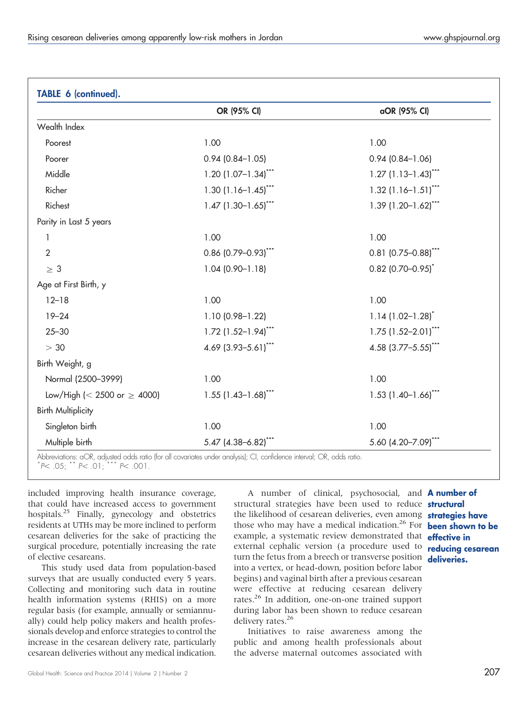| TABLE 6 (continued).             |                                   |                                   |
|----------------------------------|-----------------------------------|-----------------------------------|
|                                  | OR (95% CI)                       | aOR (95% CI)                      |
| Wealth Index                     |                                   |                                   |
| Poorest                          | 1.00                              | 1.00                              |
| Poorer                           | $0.94$ (0.84-1.05)                | $0.94(0.84 - 1.06)$               |
| Middle                           | $1.20$ (1.07-1.34) <sup>***</sup> | $1.27$ (1.13-1.43) <sup>***</sup> |
| Richer                           | $1.30$ (1.16-1.45) <sup>***</sup> | $1.32$ (1.16-1.51) <sup>***</sup> |
| Richest                          | $1.47$ (1.30-1.65) <sup>***</sup> | $1.39$ (1.20-1.62)***             |
| Parity in Last 5 years           |                                   |                                   |
| 1                                | 1.00                              | 1.00                              |
| $\overline{2}$                   | $0.86$ (0.79-0.93) <sup>***</sup> | $0.81$ (0.75-0.88) <sup>***</sup> |
| $\geq 3$                         | $1.04(0.90 - 1.18)$               | $0.82$ (0.70-0.95) <sup>*</sup>   |
| Age at First Birth, y            |                                   |                                   |
| $12 - 18$                        | 1.00                              | 1.00                              |
| $19 - 24$                        | 1.10 (0.98-1.22)                  | $1.14(1.02 - 1.28)^{*}$           |
| $25 - 30$                        | $1.72$ (1.52-1.94) <sup>***</sup> | $1.75$ $(1.52 - 2.01)$ ***        |
| > 30                             | 4.69 (3.93-5.61)"**               | 4.58 $(3.77 - 5.55)$ ***          |
| Birth Weight, g                  |                                   |                                   |
| Normal (2500-3999)               | 1.00                              | 1.00                              |
| Low/High (< 2500 or $\geq$ 4000) | $1.55$ (1.43-1.68)***             | $1.53$ $(1.40-1.66)$ ***          |
| <b>Birth Multiplicity</b>        |                                   |                                   |
| Singleton birth                  | 1.00                              | 1.00                              |
| Multiple birth                   | $5.47$ (4.38-6.82) <sup>***</sup> | 5.60 (4.20-7.09)***               |

Abbreviations: aOR, adjusted odds ratio (for all covariates under analysis); CI, confidence interval; OR, odds ratio. \*  $P < .05$ ;  $P < .01$ ;  $P < .001$ .

included improving health insurance coverage, that could have increased access to government hospitals.<sup>25</sup> Finally, gynecology and obstetrics residents at UTHs may be more inclined to perform cesarean deliveries for the sake of practicing the surgical procedure, potentially increasing the rate of elective cesareans.

This study used data from population-based surveys that are usually conducted every 5 years. Collecting and monitoring such data in routine health information systems (RHIS) on a more regular basis (for example, annually or semiannually) could help policy makers and health professionals develop and enforce strategies to control the increase in the cesarean delivery rate, particularly cesarean deliveries without any medical indication.

A number of clinical, psychosocial, and **A number of** structural strategies have been used to reduce **structural** the likelihood of cesarean deliveries, even among strategies have those who may have a medical indication.<sup>26</sup> For **been shown to be** example, a systematic review demonstrated that **effective in** external cephalic version (a procedure used to **reducing cesarean** turn the fetus from a breech or transverse position deliveries. into a vertex, or head-down, position before labor begins) and vaginal birth after a previous cesarean were effective at reducing cesarean delivery rates.26 In addition, one-on-one trained support during labor has been shown to reduce cesarean delivery rates.<sup>26</sup>

Initiatives to raise awareness among the public and among health professionals about the adverse maternal outcomes associated with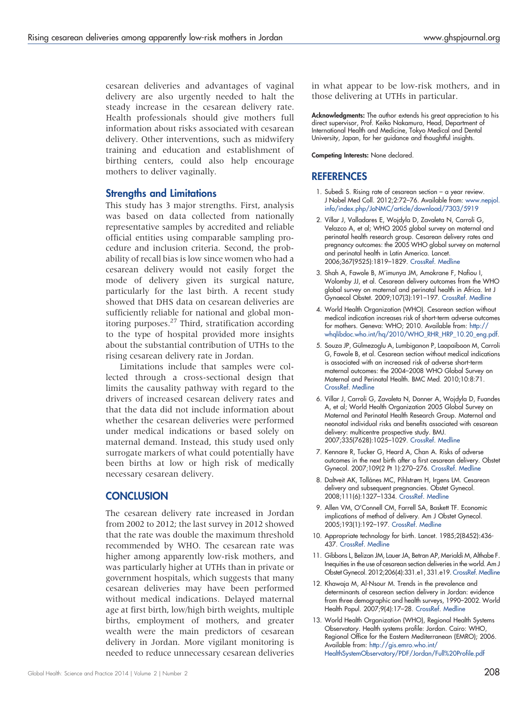cesarean deliveries and advantages of vaginal delivery are also urgently needed to halt the steady increase in the cesarean delivery rate. Health professionals should give mothers full information about risks associated with cesarean delivery. Other interventions, such as midwifery training and education and establishment of birthing centers, could also help encourage mothers to deliver vaginally.

#### Strengths and Limitations

This study has 3 major strengths. First, analysis was based on data collected from nationally representative samples by accredited and reliable official entities using comparable sampling procedure and inclusion criteria. Second, the probability of recall bias is low since women who had a cesarean delivery would not easily forget the mode of delivery given its surgical nature, particularly for the last birth. A recent study showed that DHS data on cesarean deliveries are sufficiently reliable for national and global monitoring purposes.27 Third, stratification according to the type of hospital provided more insights about the substantial contribution of UTHs to the rising cesarean delivery rate in Jordan.

Limitations include that samples were collected through a cross-sectional design that limits the causality pathway with regard to the drivers of increased cesarean delivery rates and that the data did not include information about whether the cesarean deliveries were performed under medical indications or based solely on maternal demand. Instead, this study used only surrogate markers of what could potentially have been births at low or high risk of medically necessary cesarean delivery.

## **CONCLUSION**

The cesarean delivery rate increased in Jordan from 2002 to 2012; the last survey in 2012 showed that the rate was double the maximum threshold recommended by WHO. The cesarean rate was higher among apparently low-risk mothers, and was particularly higher at UTHs than in private or government hospitals, which suggests that many cesarean deliveries may have been performed without medical indications. Delayed maternal age at first birth, low/high birth weights, multiple births, employment of mothers, and greater wealth were the main predictors of cesarean delivery in Jordan. More vigilant monitoring is needed to reduce unnecessary cesarean deliveries

in what appear to be low-risk mothers, and in those delivering at UTHs in particular.

Acknowledgments: The author extends his great appreciation to his direct supervisor, Prof. Keiko Nakamura, Head, Department of International Health and Medicine, Tokyo Medical and Dental University, Japan, for her guidance and thoughtful insights.

Competing Interests: None declared.

### **REFERENCES**

- 1. Subedi S. Rising rate of cesarean section a year review. J Nobel Med Coll. 2012;2:72–76. Available from: [www.nepjol.](http://www.nepjol.info/index.php/JoNMC/article/download/7303/5919) [info/index.php/JoNMC/article/download/7303/5919](http://www.nepjol.info/index.php/JoNMC/article/download/7303/5919)
- 2. Villar J, Valladares E, Wojdyla D, Zavaleta N, Carroli G, Velazco A, et al; WHO 2005 global survey on maternal and perinatal health research group. Cesarean delivery rates and pregnancy outcomes: the 2005 WHO global survey on maternal and perinatal health in Latin America. Lancet. 2006;367(9525):1819–1829. [CrossRef](http://dx.doi.org/10.1016/S0140-6736(06)68704-7). [Medline](http://www.ncbi.nlm.nih.gov/pubmed/16753484)
- 3. Shah A, Fawole B, M'imunya JM, Amokrane F, Nafiou I, Wolomby JJ, et al. Cesarean delivery outcomes from the WHO global survey on maternal and perinatal health in Africa. Int J Gynaecol Obstet. 2009;107(3):191–197. [CrossRef.](http://dx.doi.org/10.1016/j.ijgo.2009.08.013) [Medline](http://www.ncbi.nlm.nih.govpubmed/19782977)
- 4. World Health Organization (WHO). Cesarean section without medical indication increases risk of short-term adverse outcomes for mothers. Geneva: WHO; 2010. Available from: [http://](http://whqlibdoc.who.int/hq/2010/WHO_RHR_HRP_10.20_eng.pdf) [whqlibdoc.who.int/hq/2010/WHO\\_RHR\\_HRP\\_10.20\\_eng.pdf](http://whqlibdoc.who.int/hq/2010/WHO_RHR_HRP_10.20_eng.pdf).
- 5. Souza JP, Gülmezoglu A, Lumbiganon P, Laopaiboon M, Carroli G, Fawole B, et al. Cesarean section without medical indications is associated with an increased risk of adverse short-term maternal outcomes: the 2004–2008 WHO Global Survey on Maternal and Perinatal Health. BMC Med. 2010;10:8:71. [CrossRef](http://dx.doi.org/10.1186/1741-7015-8-71). [Medline](http://www.ncbi.nlm.nih.gov/pubmed/21067593)
- 6. Villar J, Carroli G, Zavaleta N, Donner A, Wojdyla D, Fuandes A, et al; World Health Organization 2005 Global Survey on Maternal and Perinatal Health Research Group. Maternal and neonatal individual risks and benefits associated with cesarean delivery: multicentre prospective study. BMJ. 2007;335(7628):1025–1029. [CrossRef](http://dx.doi.org/10.1136/bmj.39363.706956.55). [Medline](http://www.ncbi.nlm.nih.gov/pubmed/17977819)
- 7. Kennare R, Tucker G, Heard A, Chan A. Risks of adverse outcomes in the next birth after a first cesarean delivery. Obstet Gynecol. 2007;109(2 Pt 1):270–276. [CrossRef](http://dx.doi.org/10.1097/01.AOG.0000250469.23047.73). [Medline](http://www.ncbi.nlm.nih.gov/pubmed/17267823)
- 8. Daltveit AK, Tollånes MC, Pihlstrøm H, Irgens LM. Cesarean delivery and subsequent pregnancies. Obstet Gynecol. 2008;111(6):1327–1334. [CrossRef](http://dx.doi.org/10.1097/AOG.0b013e3181744110). [Medline](http://www.ncbi.nlm.nih.gov/pubmed/18515516)
- 9. Allen VM, O'Connell CM, Farrell SA, Baskett TF. Economic implications of method of delivery. Am J Obstet Gynecol. 2005;193(1):192–197. [CrossRef](http://dx.doi.org/10.1016/j.ajog.2004.10.635). [Medline](http://www.ncbi.nlm.nih.gov/pubmed/16021078)
- 10. Appropriate technology for birth. Lancet. 1985;2(8452):436- 437. [CrossRef](http://dx.doi.org/10.1016/S0140-6736(85)90673-7). [Medline](http://www.ncbi.nlm.nih.gov/pubmed/2863457)
- 11. Gibbons L, Belizan JM, Lauer JA, Betran AP, Merialdi M, Althabe F. Inequities in the use of cesarean section deliveries in the world. Am J Obstet Gynecol. 2012;206(4):331.e1, 331.e19. [CrossRef.](http://dx.doi.org/10.1016/j.ajog.2012.02.026) [Medline](http://www.ncbi.nlm.nih.gov/pubmed/22464076)
- 12. Khawaja M, Al-Nsour M. Trends in the prevalence and determinants of cesarean section delivery in Jordan: evidence from three demographic and health surveys, 1990–2002. World Health Popul. 2007;9(4):17–28. [CrossRef.](http://dx.doi.org/10.12927/whp.2007.19395) [Medline](http://www.ncbi.nlm.nih.gov/pubmed/18567949)
- 13. World Health Organization (WHO), Regional Health Systems Observatory. Health systems profile: Jordan. Cairo: WHO, Regional Office for the Eastern Mediterranean (EMRO); 2006. Available from: [http://gis.emro.who.int/](http://gis.emro.who.int/HealthSystemObservatory/PDF/Jordan/Full%20Profile.pdf) [HealthSystemObservatory/PDF/Jordan/Full%20Profile.pdf](http://gis.emro.who.int/HealthSystemObservatory/PDF/Jordan/Full%20Profile.pdf)